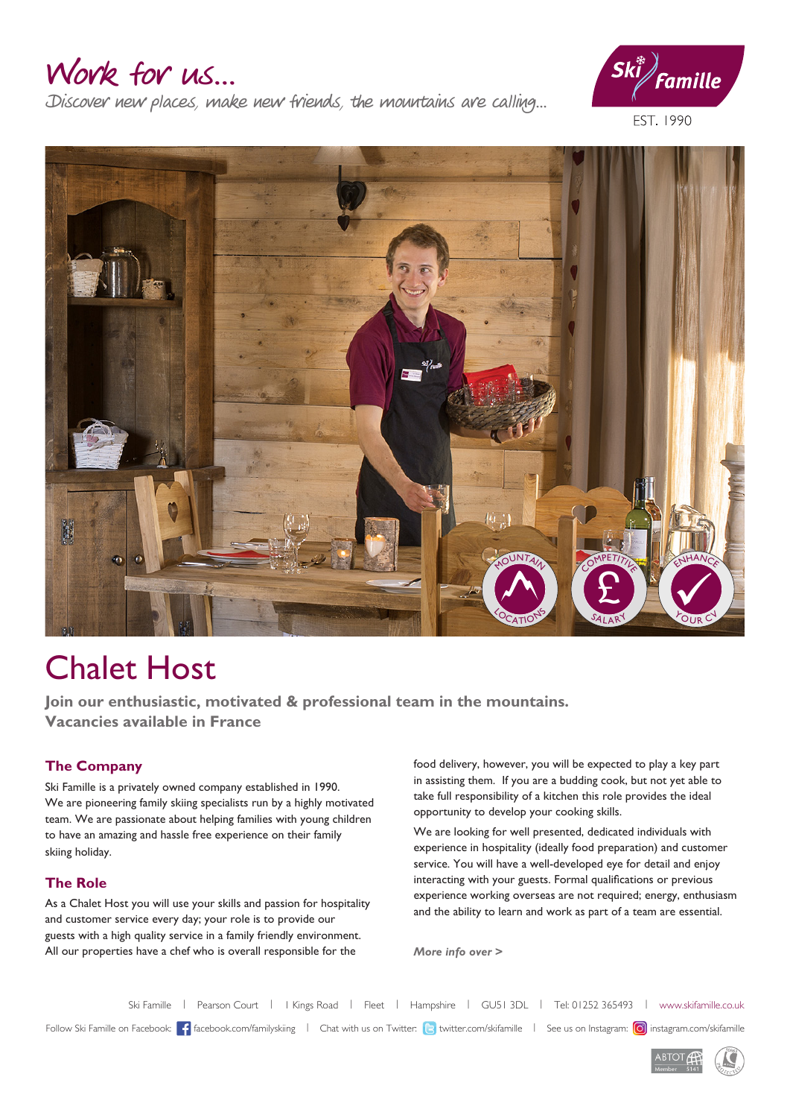# Work for us...

Discover new places, make new friends, the mountains are calling...



EST. 1990



# Chalet Host

**Join our enthusiastic, motivated & professional team in the mountains. Vacancies available in France**

### **The Company**

Ski Famille is a privately owned company established in 1990. We are pioneering family skiing specialists run by a highly motivated team. We are passionate about helping families with young children to have an amazing and hassle free experience on their family skiing holiday.

### **The Role**

As a Chalet Host you will use your skills and passion for hospitality and customer service every day; your role is to provide our guests with a high quality service in a family friendly environment. All our properties have a chef who is overall responsible for the

food delivery, however, you will be expected to play a key part in assisting them. If you are a budding cook, but not yet able to take full responsibility of a kitchen this role provides the ideal opportunity to develop your cooking skills.

We are looking for well presented, dedicated individuals with experience in hospitality (ideally food preparation) and customer service. You will have a well-developed eye for detail and enjoy interacting with your guests. Formal qualifications or previous experience working overseas are not required; energy, enthusiasm and the ability to learn and work as part of a team are essential.

*More info over >*

Ski Famille | Pearson Court | I Kings Road | Fleet | Hampshire | GU51 3DL | Tel: 01252 365493 | www.skifamille.co.uk Follow Ski Famille on Facebook: facebook.com/familyskiing | Chat with us on Twitter: <a>|<a>|</a></a>|</a></a>|</a></a>|</a></a>|</a></a>|</a></a>|</a></a>|</a></a>|</a></a></a></a>|</a></a></a></a></a>|</a></a></a></a></a